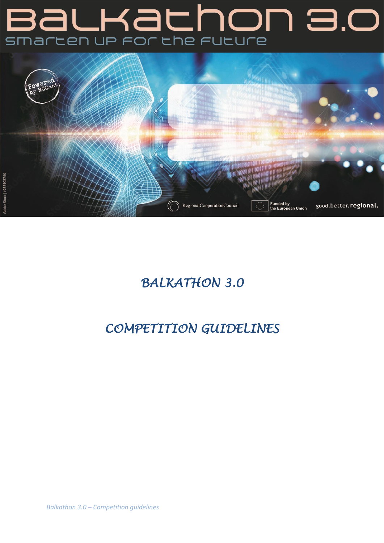# C.E non ac **Bal** smarten up for the future



# *BALKATHON 3.0*

# *COMPETITION GUIDELINES*

*Balkathon 3.0 – Competition guidelines*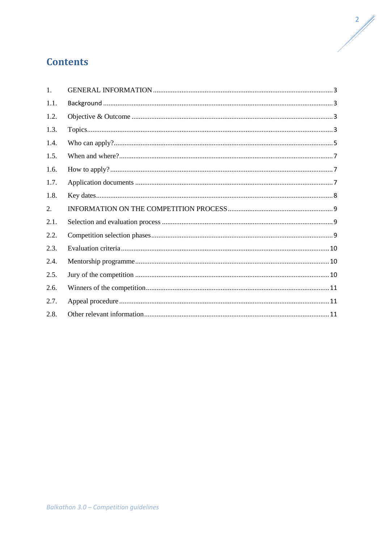# **Contents**

| 1.   |  |
|------|--|
| 1.1. |  |
| 1.2. |  |
| 1.3. |  |
| 1.4. |  |
| 1.5. |  |
| 1.6. |  |
| 1.7. |  |
| 1.8. |  |
| 2.   |  |
| 2.1. |  |
| 2.2. |  |
| 2.3. |  |
| 2.4. |  |
| 2.5. |  |
| 2.6. |  |
| 2.7. |  |
| 2.8. |  |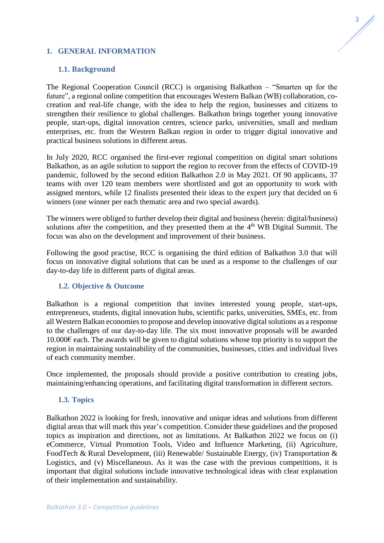# <span id="page-2-0"></span>**1. GENERAL INFORMATION**

#### <span id="page-2-1"></span>**1.1. Background**

The Regional Cooperation Council (RCC) is organising Balkathon – "Smarten up for the future", a regional online competition that encourages Western Balkan (WB) collaboration, cocreation and real-life change, with the idea to help the region, businesses and citizens to strengthen their resilience to global challenges. Balkathon brings together young innovative people, start-ups, digital innovation centres, science parks, universities, small and medium enterprises, etc. from the Western Balkan region in order to trigger digital innovative and practical business solutions in different areas.

In July 2020, RCC organised the first-ever regional competition on digital smart solutions Balkathon, as an agile solution to support the region to recover from the effects of COVID-19 pandemic, followed by the second edition Balkathon 2.0 in May 2021. Of 90 applicants, 37 teams with over 120 team members were shortlisted and got an opportunity to work with assigned mentors, while 12 finalists presented their ideas to the expert jury that decided on 6 winners (one winner per each thematic area and two special awards).

The winners were obliged to further develop their digital and business (herein: digital/business) solutions after the competition, and they presented them at the  $4<sup>th</sup>$  WB Digital Summit. The focus was also on the development and improvement of their business.

Following the good practise, RCC is organising the third edition of Balkathon 3.0 that will focus on innovative digital solutions that can be used as a response to the challenges of our day-to-day life in different parts of digital areas.

#### <span id="page-2-2"></span>**1.2. Objective & Outcome**

Balkathon is a regional competition that invites interested young people, start-ups, entrepreneurs, students, digital innovation hubs, scientific parks, universities, SMEs, etc. from all Western Balkan economies to propose and develop innovative digital solutions as a response to the challenges of our day-to-day life. The six most innovative proposals will be awarded  $10.000\epsilon$  each. The awards will be given to digital solutions whose top priority is to support the region in maintaining sustainability of the communities, businesses, cities and individual lives of each community member.

Once implemented, the proposals should provide a positive contribution to creating jobs, maintaining/enhancing operations, and facilitating digital transformation in different sectors.

#### <span id="page-2-3"></span>**1.3. Topics**

Balkathon 2022 is looking for fresh, innovative and unique ideas and solutions from different digital areas that will mark this year's competition. Consider these guidelines and the proposed topics as inspiration and directions, not as limitations. At Balkathon 2022 we focus on (i) eCommerce, Virtual Promotion Tools, Video and Influence Marketing, (ii) Agriculture, FoodTech & Rural Development, (iii) Renewable/ Sustainable Energy, (iv) Transportation & Logistics, and (v) Miscellaneous. As it was the case with the previous competitions, it is important that digital solutions include innovative technological ideas with clear explanation of their implementation and sustainability.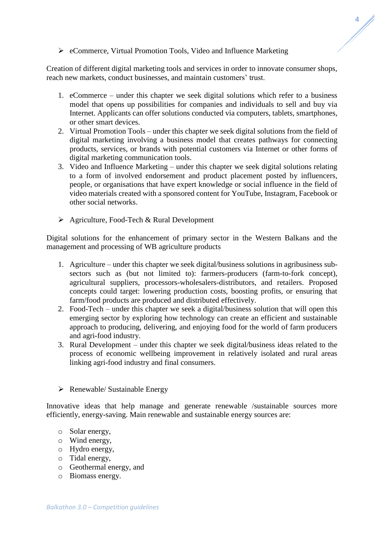# eCommerce, Virtual Promotion Tools, Video and Influence Marketing

Creation of different digital marketing tools and services in order to innovate consumer shops, reach new markets, conduct businesses, and maintain customers' trust.

- 1. eCommerce under this chapter we seek digital solutions which refer to a business model that opens up possibilities for companies and individuals to sell and buy via Internet. Applicants can offer solutions conducted via computers, tablets, smartphones, or other smart devices.
- 2. Virtual Promotion Tools under this chapter we seek digital solutions from the field of digital marketing involving a business model that creates pathways for connecting products, services, or brands with potential customers via Internet or other forms of digital marketing communication tools.
- 3. Video and Influence Marketing under this chapter we seek digital solutions relating to a form of involved endorsement and product placement posted by influencers, people, or organisations that have expert knowledge or social influence in the field of video materials created with a sponsored content for YouTube, Instagram, Facebook or other social networks.
- $\triangleright$  Agriculture, Food-Tech & Rural Development

Digital solutions for the enhancement of primary sector in the Western Balkans and the management and processing of WB agriculture products

- 1. Agriculture under this chapter we seek digital/business solutions in agribusiness subsectors such as (but not limited to): farmers-producers (farm-to-fork concept), agricultural suppliers, processors-wholesalers-distributors, and retailers. Proposed concepts could target: lowering production costs, boosting profits, or ensuring that farm/food products are produced and distributed effectively.
- 2. Food-Tech under this chapter we seek a digital/business solution that will open this emerging sector by exploring how technology can create an efficient and sustainable approach to producing, delivering, and enjoying food for the world of farm producers and agri-food industry.
- 3. Rural Development under this chapter we seek digital/business ideas related to the process of economic wellbeing improvement in relatively isolated and rural areas linking agri-food industry and final consumers.
- $\triangleright$  Renewable/ Sustainable Energy

Innovative ideas that help manage and generate renewable /sustainable sources more efficiently, energy-saving. Main renewable and sustainable energy sources are:

- o Solar energy,
- o Wind energy,
- o Hydro energy,
- o Tidal energy,
- o Geothermal energy, and
- o Biomass energy.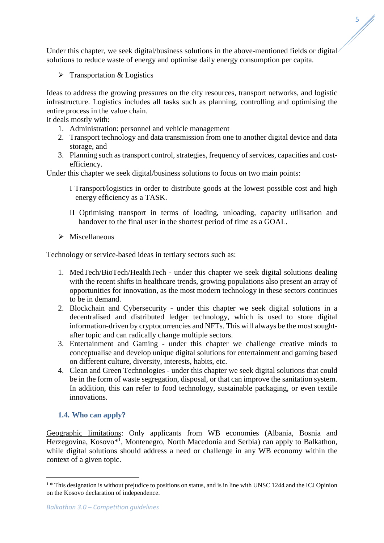Under this chapter, we seek digital/business solutions in the above-mentioned fields or digital solutions to reduce waste of energy and optimise daily energy consumption per capita.

 $\triangleright$  Transportation & Logistics

Ideas to address the growing pressures on the city resources, transport networks, and logistic infrastructure. Logistics includes all tasks such as planning, controlling and optimising the entire process in the value chain.

It deals mostly with:

- 1. Administration: personnel and vehicle management
- 2. Transport technology and data transmission from one to another digital device and data storage, and
- 3. Planning such as transport control, strategies, frequency of services, capacities and costefficiency.

Under this chapter we seek digital/business solutions to focus on two main points:

- I Transport/logistics in order to distribute goods at the lowest possible cost and high energy efficiency as a TASK.
- II Optimising transport in terms of loading, unloading, capacity utilisation and handover to the final user in the shortest period of time as a GOAL.
- $\triangleright$  Miscellaneous

Technology or service-based ideas in tertiary sectors such as:

- 1. MedTech/BioTech/HealthTech under this chapter we seek digital solutions dealing with the recent shifts in healthcare trends, growing populations also present an array of opportunities for innovation, as the most modern technology in these sectors continues to be in demand.
- 2. Blockchain and Cybersecurity under this chapter we seek digital solutions in a decentralised and distributed ledger technology, which is used to store digital information-driven by cryptocurrencies and NFTs. This will always be the most soughtafter topic and can radically change multiple sectors.
- 3. Entertainment and Gaming under this chapter we challenge creative minds to conceptualise and develop unique digital solutions for entertainment and gaming based on different culture, diversity, interests, habits, etc.
- 4. Clean and Green Technologies under this chapter we seek digital solutions that could be in the form of waste segregation, disposal, or that can improve the sanitation system. In addition, this can refer to food technology, sustainable packaging, or even textile innovations.

# <span id="page-4-0"></span>**1.4. Who can apply?**

1

Geographic limitations: Only applicants from WB economies (Albania, Bosnia and Herzegovina, Kosovo<sup>\*1</sup>, Montenegro, North Macedonia and Serbia) can apply to Balkathon, while digital solutions should address a need or challenge in any WB economy within the context of a given topic.

<sup>&</sup>lt;sup>1</sup> \* This designation is without prejudice to positions on status, and is in line with UNSC 1244 and the ICJ Opinion on the Kosovo declaration of independence.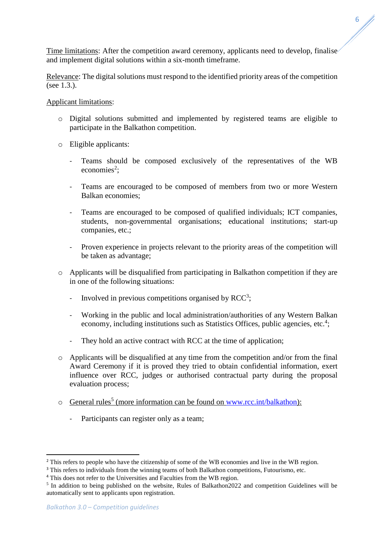Time limitations: After the competition award ceremony, applicants need to develop, finalise and implement digital solutions within a six-month timeframe.

Relevance: The digital solutions must respond to the identified priority areas of the competition (see 1.3.).

#### Applicant limitations:

- o Digital solutions submitted and implemented by registered teams are eligible to participate in the Balkathon competition.
- o Eligible applicants:
	- Teams should be composed exclusively of the representatives of the WB  $e$ conomies<sup>2</sup>;
	- Teams are encouraged to be composed of members from two or more Western Balkan economies;
	- Teams are encouraged to be composed of qualified individuals; ICT companies, students, non-governmental organisations; educational institutions; start-up companies, etc.;
	- Proven experience in projects relevant to the priority areas of the competition will be taken as advantage;
- o Applicants will be disqualified from participating in Balkathon competition if they are in one of the following situations:
	- Involved in previous competitions organised by  $RCC^3$ ;
	- Working in the public and local administration/authorities of any Western Balkan economy, including institutions such as Statistics Offices, public agencies, etc.<sup>4</sup>;
	- They hold an active contract with RCC at the time of application;
- o Applicants will be disqualified at any time from the competition and/or from the final Award Ceremony if it is proved they tried to obtain confidential information, exert influence over RCC, judges or authorised contractual party during the proposal evaluation process;
- o General rules<sup>5</sup> (more information can be found on [www.rcc.int/balkathon\)](http://www.rcc.int/balkathon):
	- Participants can register only as a team;

**.** 

<sup>&</sup>lt;sup>2</sup> This refers to people who have the citizenship of some of the WB economies and live in the WB region.

<sup>&</sup>lt;sup>3</sup> This refers to individuals from the winning teams of both Balkathon competitions, Futourismo, etc.

<sup>&</sup>lt;sup>4</sup> This does not refer to the Universities and Faculties from the WB region.

<sup>&</sup>lt;sup>5</sup> In addition to being published on the website, Rules of Balkathon2022 and competition Guidelines will be automatically sent to applicants upon registration.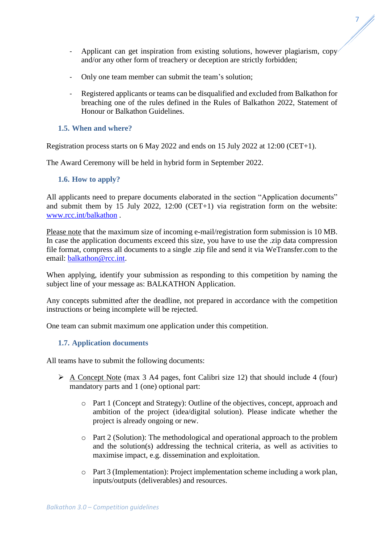- Applicant can get inspiration from existing solutions, however plagiarism, copy and/or any other form of treachery or deception are strictly forbidden;
- Only one team member can submit the team's solution;
- Registered applicants or teams can be disqualified and excluded from Balkathon for breaching one of the rules defined in the Rules of Balkathon 2022, Statement of Honour or Balkathon Guidelines.

## <span id="page-6-0"></span>**1.5. When and where?**

Registration process starts on 6 May 2022 and ends on 15 July 2022 at 12:00 (CET+1).

The Award Ceremony will be held in hybrid form in September 2022.

### <span id="page-6-1"></span>**1.6. How to apply?**

All applicants need to prepare documents elaborated in the section "Application documents" and submit them by 15 July 2022, 12:00 (CET+1) via registration form on the website: [www.rcc.int/balkathon](http://www.rcc.int/balkathon) .

Please note that the maximum size of incoming e-mail/registration form submission is 10 MB. In case the application documents exceed this size, you have to use the .zip data compression file format, compress all documents to a single .zip file and send it via WeTransfer.com to the email: [balkathon@rcc.int.](mailto:balkathon@rcc.int)

When applying, identify your submission as responding to this competition by naming the subject line of your message as: BALKATHON Application.

Any concepts submitted after the deadline, not prepared in accordance with the competition instructions or being incomplete will be rejected.

One team can submit maximum one application under this competition.

# <span id="page-6-2"></span>**1.7. Application documents**

All teams have to submit the following documents:

- $\triangleright$  A Concept Note (max 3 A4 pages, font Calibri size 12) that should include 4 (four) mandatory parts and 1 (one) optional part:
	- o Part 1 (Concept and Strategy): Outline of the objectives, concept, approach and ambition of the project (idea/digital solution). Please indicate whether the project is already ongoing or new.
	- o Part 2 (Solution): The methodological and operational approach to the problem and the solution(s) addressing the technical criteria, as well as activities to maximise impact, e.g. dissemination and exploitation.
	- o Part 3 (Implementation): Project implementation scheme including a work plan, inputs/outputs (deliverables) and resources.

7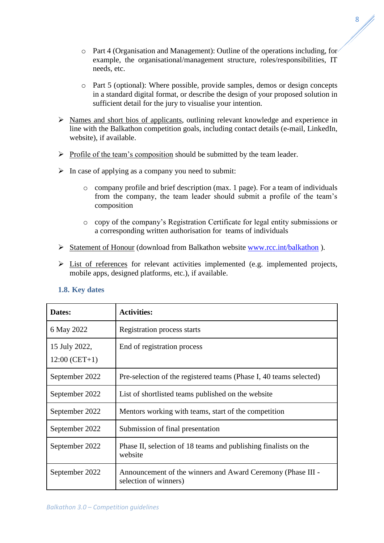8

- o Part 4 (Organisation and Management): Outline of the operations including, for example, the organisational/management structure, roles/responsibilities, IT needs, etc.
- o Part 5 (optional): Where possible, provide samples, demos or design concepts in a standard digital format, or describe the design of your proposed solution in sufficient detail for the jury to visualise your intention.
- $\triangleright$  Names and short bios of applicants, outlining relevant knowledge and experience in line with the Balkathon competition goals, including contact details (e-mail, LinkedIn, website), if available.
- $\triangleright$  Profile of the team's composition should be submitted by the team leader.
- $\triangleright$  In case of applying as a company you need to submit:
	- o company profile and brief description (max. 1 page). For a team of individuals from the company, the team leader should submit a profile of the team's composition
	- o copy of the company's Registration Certificate for legal entity submissions or a corresponding written authorisation for teams of individuals
- Statement of Honour (download from Balkathon website [www.rcc.int/balkathon](http://www.rcc.int/balkathon) ).
- $\triangleright$  List of references for relevant activities implemented (e.g. implemented projects, mobile apps, designed platforms, etc.), if available.

# <span id="page-7-0"></span>**1.8. Key dates**

| Dates:                           | <b>Activities:</b>                                                                   |
|----------------------------------|--------------------------------------------------------------------------------------|
| 6 May 2022                       | Registration process starts                                                          |
| 15 July 2022,<br>$12:00$ (CET+1) | End of registration process                                                          |
| September 2022                   | Pre-selection of the registered teams (Phase I, 40 teams selected)                   |
| September 2022                   | List of shortlisted teams published on the website                                   |
| September 2022                   | Mentors working with teams, start of the competition                                 |
| September 2022                   | Submission of final presentation                                                     |
| September 2022                   | Phase II, selection of 18 teams and publishing finalists on the<br>website           |
| September 2022                   | Announcement of the winners and Award Ceremony (Phase III -<br>selection of winners) |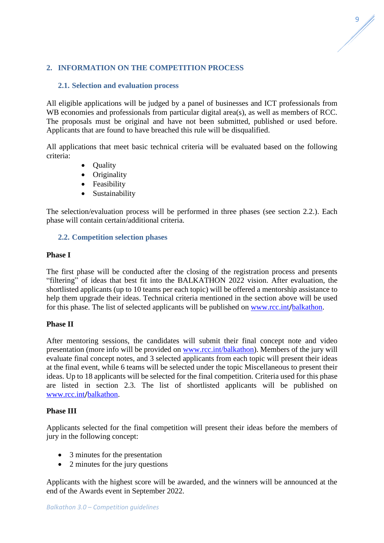# <span id="page-8-0"></span>**2. INFORMATION ON THE COMPETITION PROCESS**

# <span id="page-8-1"></span>**2.1. Selection and evaluation process**

All eligible applications will be judged by a panel of businesses and ICT professionals from WB economies and professionals from particular digital area(s), as well as members of RCC. The proposals must be original and have not been submitted, published or used before. Applicants that are found to have breached this rule will be disqualified.

All applications that meet basic technical criteria will be evaluated based on the following criteria:

- Quality
- Originality
- Feasibility
- Sustainability

The selection/evaluation process will be performed in three phases (see section 2.2.). Each phase will contain certain/additional criteria.

### <span id="page-8-2"></span>**2.2. Competition selection phases**

#### **Phase I**

The first phase will be conducted after the closing of the registration process and presents "filtering" of ideas that best fit into the BALKATHON 2022 vision. After evaluation, the shortlisted applicants (up to 10 teams per each topic) will be offered a mentorship assistance to help them upgrade their ideas. Technical criteria mentioned in the section above will be used for this phase. The list of selected applicants will be published on [www.rcc.int](http://www.rcc.int/)/balkathon.

#### **Phase II**

After mentoring sessions, the candidates will submit their final concept note and video presentation (more info will be provided on [www.rcc.int/](http://www.rcc.int/)balkathon). Members of the jury will evaluate final concept notes, and 3 selected applicants from each topic will present their ideas at the final event, while 6 teams will be selected under the topic Miscellaneous to present their ideas. Up to 18 applicants will be selected for the final competition. Criteria used for this phase are listed in section 2.3. The list of shortlisted applicants will be published on [www.rcc.int](http://www.rcc.int/)/balkathon.

#### **Phase III**

Applicants selected for the final competition will present their ideas before the members of jury in the following concept:

- 3 minutes for the presentation
- 2 minutes for the jury questions

Applicants with the highest score will be awarded, and the winners will be announced at the end of the Awards event in September 2022.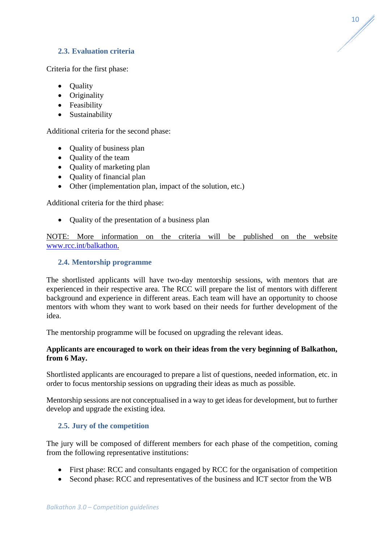# <span id="page-9-0"></span>**2.3. Evaluation criteria**

Criteria for the first phase:

- Quality
- Originality
- Feasibility
- Sustainability

Additional criteria for the second phase:

- Quality of business plan
- Quality of the team
- Ouality of marketing plan
- Quality of financial plan
- Other (implementation plan, impact of the solution, etc.)

Additional criteria for the third phase:

• Quality of the presentation of a business plan

NOTE: More information on the criteria will be published on the website [www.rcc.int/balkathon.](http://www.rcc.int/balkathon)

### <span id="page-9-1"></span>**2.4. Mentorship programme**

The shortlisted applicants will have two-day mentorship sessions, with mentors that are experienced in their respective area. The RCC will prepare the list of mentors with different background and experience in different areas. Each team will have an opportunity to choose mentors with whom they want to work based on their needs for further development of the idea.

The mentorship programme will be focused on upgrading the relevant ideas.

### **Applicants are encouraged to work on their ideas from the very beginning of Balkathon, from 6 May.**

Shortlisted applicants are encouraged to prepare a list of questions, needed information, etc. in order to focus mentorship sessions on upgrading their ideas as much as possible.

Mentorship sessions are not conceptualised in a way to get ideas for development, but to further develop and upgrade the existing idea.

#### <span id="page-9-2"></span>**2.5. Jury of the competition**

The jury will be composed of different members for each phase of the competition, coming from the following representative institutions:

- First phase: RCC and consultants engaged by RCC for the organisation of competition
- Second phase: RCC and representatives of the business and ICT sector from the WB